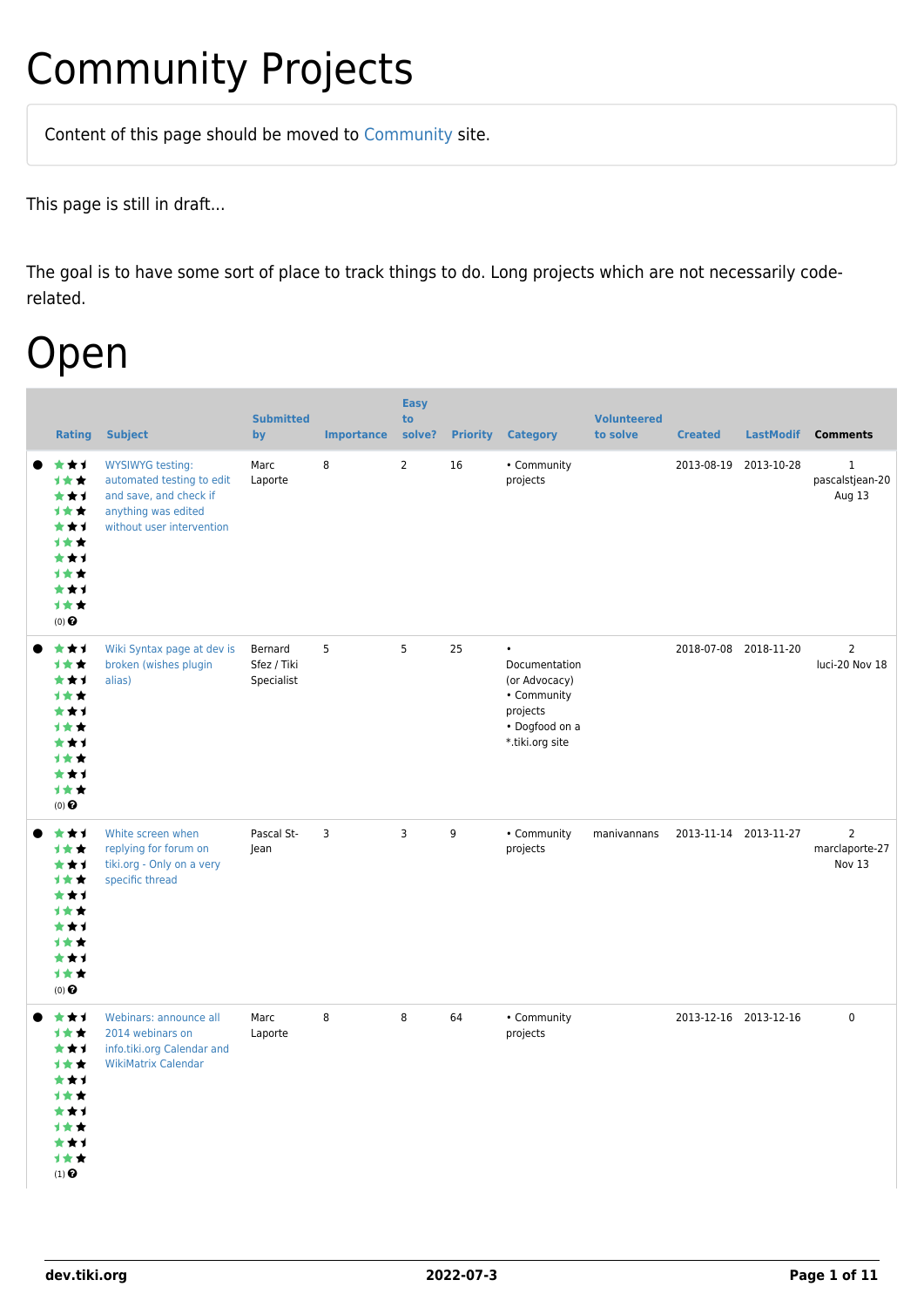## Community Projects

Content of this page should be [moved](https://dev.tiki.org/tiki-editpage.php?page=moved) to [Community](http://tiki.org/Community) site.

This page is still in draft...

The goal is to have some sort of place to track things to do. Long projects which are not necessarily coderelated.

## Open

| <b>Rating</b>                                                                                                    | <b>Subject</b>                                                                                                                     | <b>Submitted</b><br>by               | <b>Importance</b> | <b>Easy</b><br>to<br>solve? | <b>Priority</b> | <b>Category</b>                                                                                             | <b>Volunteered</b><br>to solve | <b>Created</b> | <b>LastModif</b>      | <b>Comments</b>                            |
|------------------------------------------------------------------------------------------------------------------|------------------------------------------------------------------------------------------------------------------------------------|--------------------------------------|-------------------|-----------------------------|-----------------|-------------------------------------------------------------------------------------------------------------|--------------------------------|----------------|-----------------------|--------------------------------------------|
| ***<br>计女女<br>***<br>计女女<br>***<br>1★★<br>***<br>计女女<br>***<br>计女女<br>$(0)$ $\pmb{\Theta}$                       | <b>WYSIWYG testing:</b><br>automated testing to edit<br>and save, and check if<br>anything was edited<br>without user intervention | Marc<br>Laporte                      | 8                 | $\overline{2}$              | 16              | • Community<br>projects                                                                                     |                                |                | 2013-08-19 2013-10-28 | $\mathbf{1}$<br>pascalstjean-20<br>Aug 13  |
| ***<br>1★★<br>***<br>计女女<br>***<br><b>1**</b><br>***<br>1**<br>***<br>计女女<br>$(0)$ $\pmb{\Theta}$                | Wiki Syntax page at dev is<br>broken (wishes plugin<br>alias)                                                                      | Bernard<br>Sfez / Tiki<br>Specialist | 5                 | 5                           | 25              | $\bullet$<br>Documentation<br>(or Advocacy)<br>• Community<br>projects<br>• Dogfood on a<br>*.tiki.org site |                                |                | 2018-07-08 2018-11-20 | $\overline{2}$<br>luci-20 Nov 18           |
| ***<br>计女女<br>***<br>1★★<br>***<br>计女女<br>***<br><b>1**</b><br>***<br>1★★<br>$(0)$ $\odot$                       | White screen when<br>replying for forum on<br>tiki.org - Only on a very<br>specific thread                                         | Pascal St-<br>Jean                   | 3                 | 3                           | 9               | • Community<br>projects                                                                                     | manivannans                    |                | 2013-11-14 2013-11-27 | $\overline{2}$<br>marclaporte-27<br>Nov 13 |
| ***<br>计女女<br>***<br>1★★<br>***<br>计女女<br>***<br><b>1**</b><br>***<br>计女女<br>$(1)$ <sup><math>\odot</math></sup> | Webinars: announce all<br>2014 webinars on<br>info.tiki.org Calendar and<br><b>WikiMatrix Calendar</b>                             | Marc<br>Laporte                      | 8                 | 8                           | 64              | • Community<br>projects                                                                                     |                                |                | 2013-12-16 2013-12-16 | $\pmb{0}$                                  |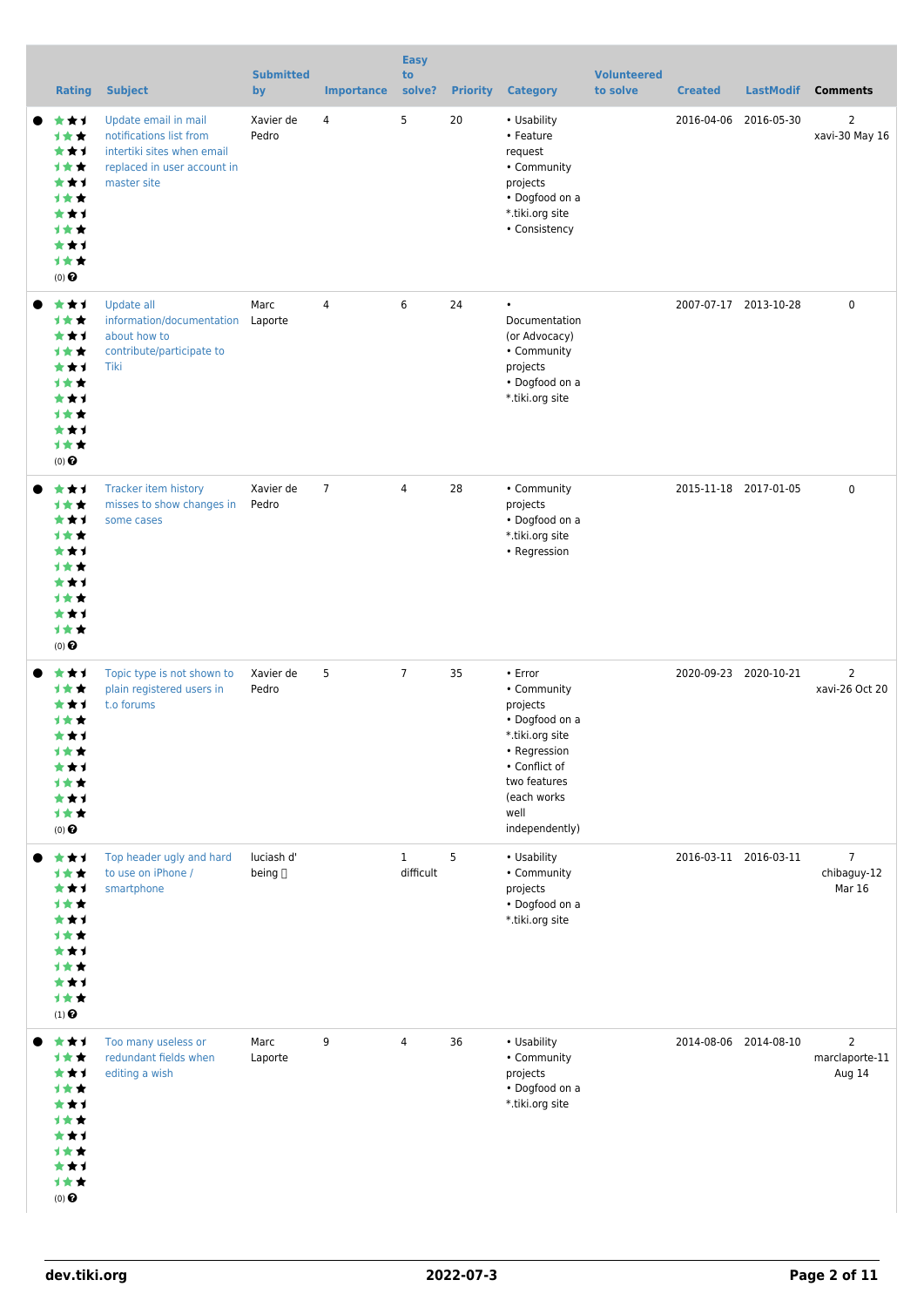| <b>Rating</b>                                                                                            | <b>Subject</b>                                                                                                              | <b>Submitted</b><br>by | <b>Importance</b> | <b>Easy</b><br>to<br>solve? | <b>Priority</b> | <b>Category</b>                                                                                                                                                   | <b>Volunteered</b><br>to solve | <b>Created</b> | <b>LastModif</b>      | <b>Comments</b>                                |
|----------------------------------------------------------------------------------------------------------|-----------------------------------------------------------------------------------------------------------------------------|------------------------|-------------------|-----------------------------|-----------------|-------------------------------------------------------------------------------------------------------------------------------------------------------------------|--------------------------------|----------------|-----------------------|------------------------------------------------|
| ***<br>计女女<br>***<br>计女女<br>***<br>1★★<br>***<br>计女女<br>***<br>计女女<br>$(0)$ $\odot$                      | Update email in mail<br>notifications list from<br>intertiki sites when email<br>replaced in user account in<br>master site | Xavier de<br>Pedro     | 4                 | 5                           | 20              | • Usability<br>• Feature<br>request<br>• Community<br>projects<br>• Dogfood on a<br>*.tiki.org site<br>• Consistency                                              |                                | 2016-04-06     | 2016-05-30            | $\overline{2}$<br>xavi-30 May 16               |
| ★★1<br>计女女<br>***<br>计女女<br>***<br>计女女<br>***<br><b>1**</b><br>★★1<br>计女女<br>$(0)$ $\odot$               | Update all<br>information/documentation<br>about how to<br>contribute/participate to<br>Tiki                                | Marc<br>Laporte        | $\overline{4}$    | 6                           | 24              | $\bullet$<br>Documentation<br>(or Advocacy)<br>• Community<br>projects<br>• Dogfood on a<br>*.tiki.org site                                                       |                                |                | 2007-07-17 2013-10-28 | $\mathbf 0$                                    |
| ***<br>1**<br>***<br><b>1**</b><br>***<br><b>1★★</b><br>***<br><b>1**</b><br>★★1<br>计女女<br>$(0)$ $\odot$ | Tracker item history<br>misses to show changes in<br>some cases                                                             | Xavier de<br>Pedro     | $\overline{7}$    | $\overline{4}$              | 28              | • Community<br>projects<br>• Dogfood on a<br>*.tiki.org site<br>• Regression                                                                                      |                                |                | 2015-11-18 2017-01-05 | $\mathbf 0$                                    |
| ★★1<br>1**<br>***<br>计女女<br>★★1<br>计女女<br>***<br>1★★<br>***<br>计女女<br>$(0)$ $\odot$                      | Topic type is not shown to<br>plain registered users in<br>t.o forums                                                       | Xavier de<br>Pedro     | 5                 | $\overline{7}$              | 35              | • Error<br>• Community<br>projects<br>• Dogfood on a<br>*.tiki.org site<br>• Regression<br>• Conflict of<br>two features<br>(each works<br>well<br>independently) |                                |                | 2020-09-23 2020-10-21 | $\overline{2}$<br>xavi-26 Oct 20               |
| ***<br>计女女<br>***<br>1★★<br>***<br><b>1**</b><br>***<br>计女女<br>***<br>1★★<br>$(1)$ $\odot$               | Top header ugly and hard<br>to use on iPhone /<br>smartphone                                                                | luciash d'<br>being [] |                   | $\mathbf{1}$<br>difficult   | 5               | • Usability<br>• Community<br>projects<br>• Dogfood on a<br>*.tiki.org site                                                                                       |                                |                | 2016-03-11 2016-03-11 | $\overline{7}$<br>chibaguy-12<br><b>Mar 16</b> |
| ***<br>1★★<br>***<br>1★★<br>***<br>1★★<br>***<br>计女女<br>***<br>计女女<br>$(0)$ $\odot$                      | Too many useless or<br>redundant fields when<br>editing a wish                                                              | Marc<br>Laporte        | 9                 | 4                           | 36              | • Usability<br>• Community<br>projects<br>• Dogfood on a<br>*.tiki.org site                                                                                       |                                |                | 2014-08-06 2014-08-10 | $\overline{2}$<br>marclaporte-11<br>Aug 14     |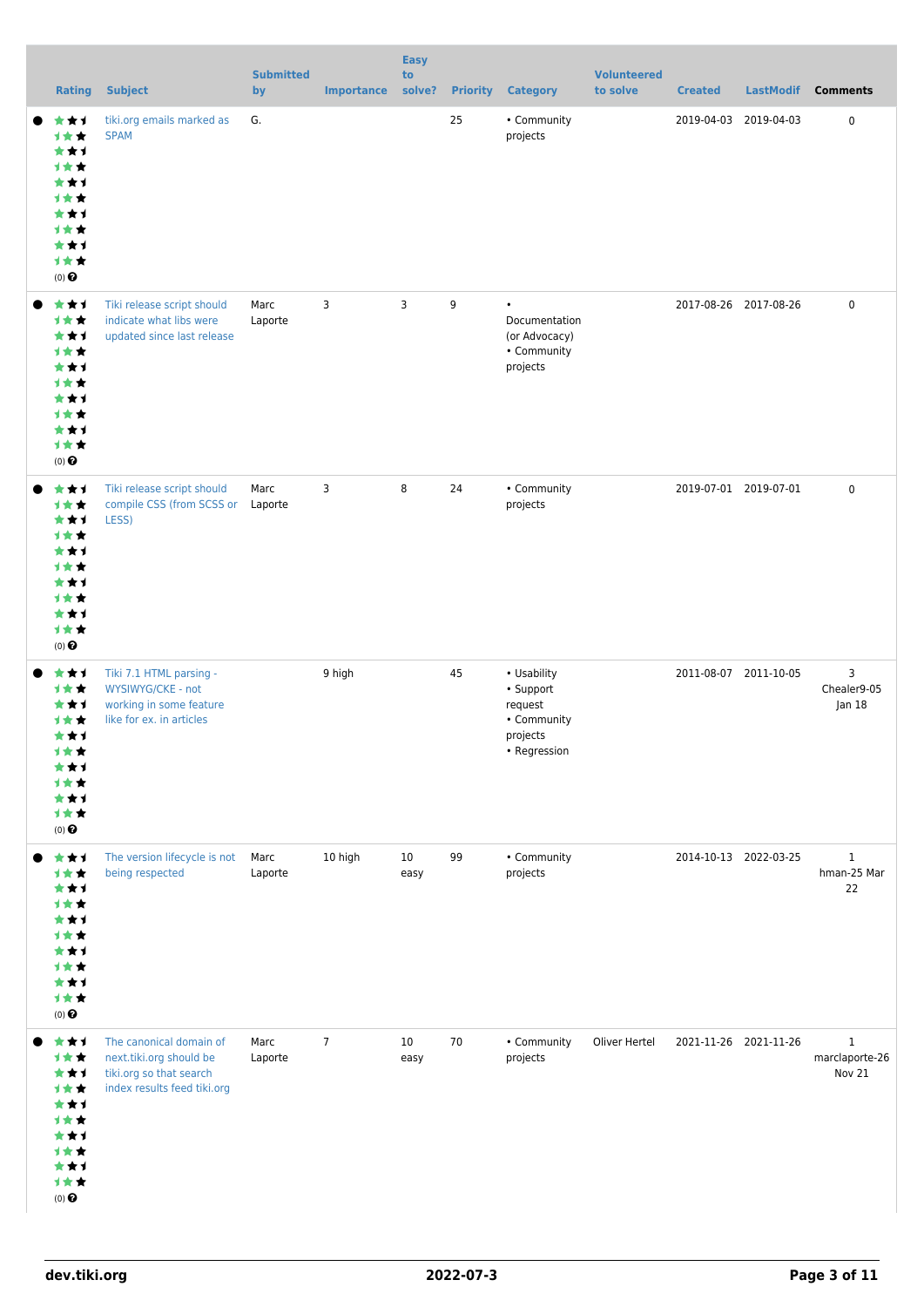| <b>Rating</b>                                                                       | <b>Subject</b>                                                                                               | <b>Submitted</b><br>by | <b>Importance</b> | <b>Easy</b><br>to<br>solve? | <b>Priority</b> | <b>Category</b>                                                                | <b>Volunteered</b><br>to solve | <b>Created</b>        | <b>LastModif</b> | <b>Comments</b>                          |
|-------------------------------------------------------------------------------------|--------------------------------------------------------------------------------------------------------------|------------------------|-------------------|-----------------------------|-----------------|--------------------------------------------------------------------------------|--------------------------------|-----------------------|------------------|------------------------------------------|
| ***<br>计女女<br>***<br>计女女<br>***<br>计女女<br>***<br>1★★<br>***<br>计女女<br>$(0)$ $\odot$ | tiki.org emails marked as<br><b>SPAM</b>                                                                     | G.                     |                   |                             | 25              | • Community<br>projects                                                        |                                | 2019-04-03            | 2019-04-03       | $\mathbf 0$                              |
| ***<br>1★★<br>***<br>计女女<br>***<br>计女女<br>***<br>计女女<br>***<br>计女女<br>$(0)$ $\odot$ | Tiki release script should<br>indicate what libs were<br>updated since last release                          | Marc<br>Laporte        | 3                 | 3                           | 9               | $\bullet$<br>Documentation<br>(or Advocacy)<br>• Community<br>projects         |                                | 2017-08-26 2017-08-26 |                  | $\mathbf 0$                              |
| ***<br>1★★<br>***<br>1★★<br>***<br>1★★<br>***<br>1★★<br>***<br>计女女<br>$(0)$ $\odot$ | Tiki release script should<br>compile CSS (from SCSS or Laporte<br>LESS)                                     | Marc                   | 3                 | 8                           | 24              | • Community<br>projects                                                        |                                | 2019-07-01 2019-07-01 |                  | $\mathbf 0$                              |
| ***<br>计女女<br>***<br>1★★<br>***<br>计女女<br>***<br>计女女<br>***<br>计女女<br>$(0)$ $\odot$ | Tiki 7.1 HTML parsing -<br>WYSIWYG/CKE - not<br>working in some feature<br>like for ex. in articles          |                        | 9 high            |                             | 45              | • Usability<br>• Support<br>request<br>• Community<br>projects<br>• Regression |                                | 2011-08-07 2011-10-05 |                  | 3<br>Chealer9-05<br> an 18               |
| ***<br>1★★<br>***<br>1★★<br>***<br>1★★<br>***<br>1★★<br>***<br>计女女<br>$(0)$ $\odot$ | The version lifecycle is not<br>being respected                                                              | Marc<br>Laporte        | 10 high           | 10 <sup>°</sup><br>easy     | 99              | • Community<br>projects                                                        |                                | 2014-10-13 2022-03-25 |                  | $\mathbf{1}$<br>hman-25 Mar<br>22        |
| ***<br>1★★<br>***<br>计女女<br>***<br>1★★<br>***<br>计女女<br>***<br>计女女<br>$(0)$ $\odot$ | The canonical domain of<br>next.tiki.org should be<br>tiki.org so that search<br>index results feed tiki.org | Marc<br>Laporte        | $\overline{7}$    | 10<br>easy                  | 70              | • Community<br>projects                                                        | Oliver Hertel                  | 2021-11-26 2021-11-26 |                  | $\mathbf{1}$<br>marclaporte-26<br>Nov 21 |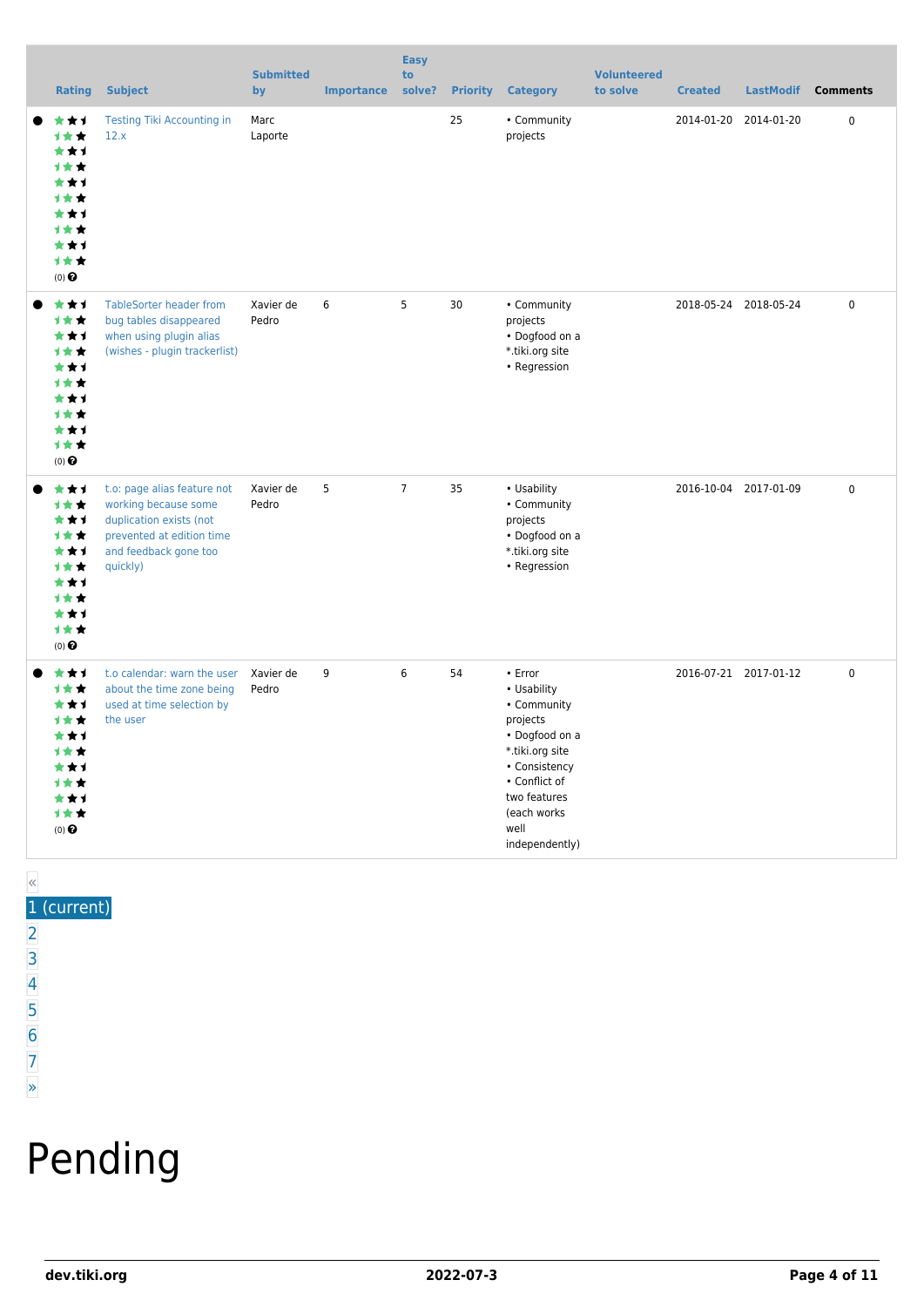| <b>Rating</b>                                                                                                           | <b>Subject</b>                                                                                                                                   | <b>Submitted</b><br>by | <b>Importance</b> | <b>Easy</b><br>to<br>solve? | <b>Priority</b> | <b>Category</b>                                                                                                                                                                    | <b>Volunteered</b><br>to solve | <b>Created</b> | <b>LastModif</b>      | <b>Comments</b> |
|-------------------------------------------------------------------------------------------------------------------------|--------------------------------------------------------------------------------------------------------------------------------------------------|------------------------|-------------------|-----------------------------|-----------------|------------------------------------------------------------------------------------------------------------------------------------------------------------------------------------|--------------------------------|----------------|-----------------------|-----------------|
| ***<br>1★★<br>***<br><b>1**</b><br>★★1<br>***<br>***<br><b>1**</b><br>***<br>1**<br>$(0)$ $\odot$                       | <b>Testing Tiki Accounting in</b><br>12.x                                                                                                        | Marc<br>Laporte        |                   |                             | 25              | • Community<br>projects                                                                                                                                                            |                                | 2014-01-20     | 2014-01-20            | $\pmb{0}$       |
| ***<br>1★★<br>***<br>1★★<br>***<br>1★★<br>***<br><b>1**</b><br>***<br>计女女<br>$(0)$ $\odot$                              | <b>TableSorter header from</b><br>bug tables disappeared<br>when using plugin alias<br>(wishes - plugin trackerlist)                             | Xavier de<br>Pedro     | 6                 | 5                           | 30              | • Community<br>projects<br>• Dogfood on a<br>*.tiki.org site<br>• Regression                                                                                                       |                                |                | 2018-05-24 2018-05-24 | 0               |
| ***<br>1★★<br>***<br>计女女<br>***<br><b>1**</b><br>***<br>1★★<br>***<br>1★★<br>$(0)$ $\odot$                              | t.o: page alias feature not<br>working because some<br>duplication exists (not<br>prevented at edition time<br>and feedback gone too<br>quickly) | Xavier de<br>Pedro     | 5                 | $\overline{7}$              | 35              | • Usability<br>• Community<br>projects<br>• Dogfood on a<br>*.tiki.org site<br>• Regression                                                                                        |                                |                | 2016-10-04 2017-01-09 | $\mathbf 0$     |
| ***<br>计女女<br>***<br><b>1**</b><br>***<br>***<br>***<br><b>1**</b><br>***<br>计女女<br>$(0)$ <sup><math>\odot</math></sup> | t.o calendar: warn the user<br>about the time zone being<br>used at time selection by<br>the user                                                | Xavier de<br>Pedro     | 9                 | 6                           | 54              | • Error<br>• Usability<br>• Community<br>projects<br>• Dogfood on a<br>*.tiki.org site<br>• Consistency<br>• Conflict of<br>two features<br>(each works)<br>well<br>independently) |                                |                | 2016-07-21 2017-01-12 | $\pmb{0}$       |

### « 1 (current)

- $\overline{2}$  $\overline{2}$  $\overline{2}$ [3](https://dev.tiki.org/tiki-print.php?tr_sort_mode1=f_26_desc&page=Community+Projects&tr_offset1=40)
- [4](https://dev.tiki.org/tiki-print.php?tr_sort_mode1=f_26_desc&page=Community+Projects&tr_offset1=60)
- [5](https://dev.tiki.org/tiki-print.php?tr_sort_mode1=f_26_desc&page=Community+Projects&tr_offset1=80)
- [6](https://dev.tiki.org/tiki-print.php?tr_sort_mode1=f_26_desc&page=Community+Projects&tr_offset1=100)
- [7](https://dev.tiki.org/tiki-print.php?tr_sort_mode1=f_26_desc&page=Community+Projects&tr_offset1=120)

#### [»](https://dev.tiki.org/tiki-print.php?tr_sort_mode1=f_26_desc&page=Community+Projects&tr_offset1=20)

# Pending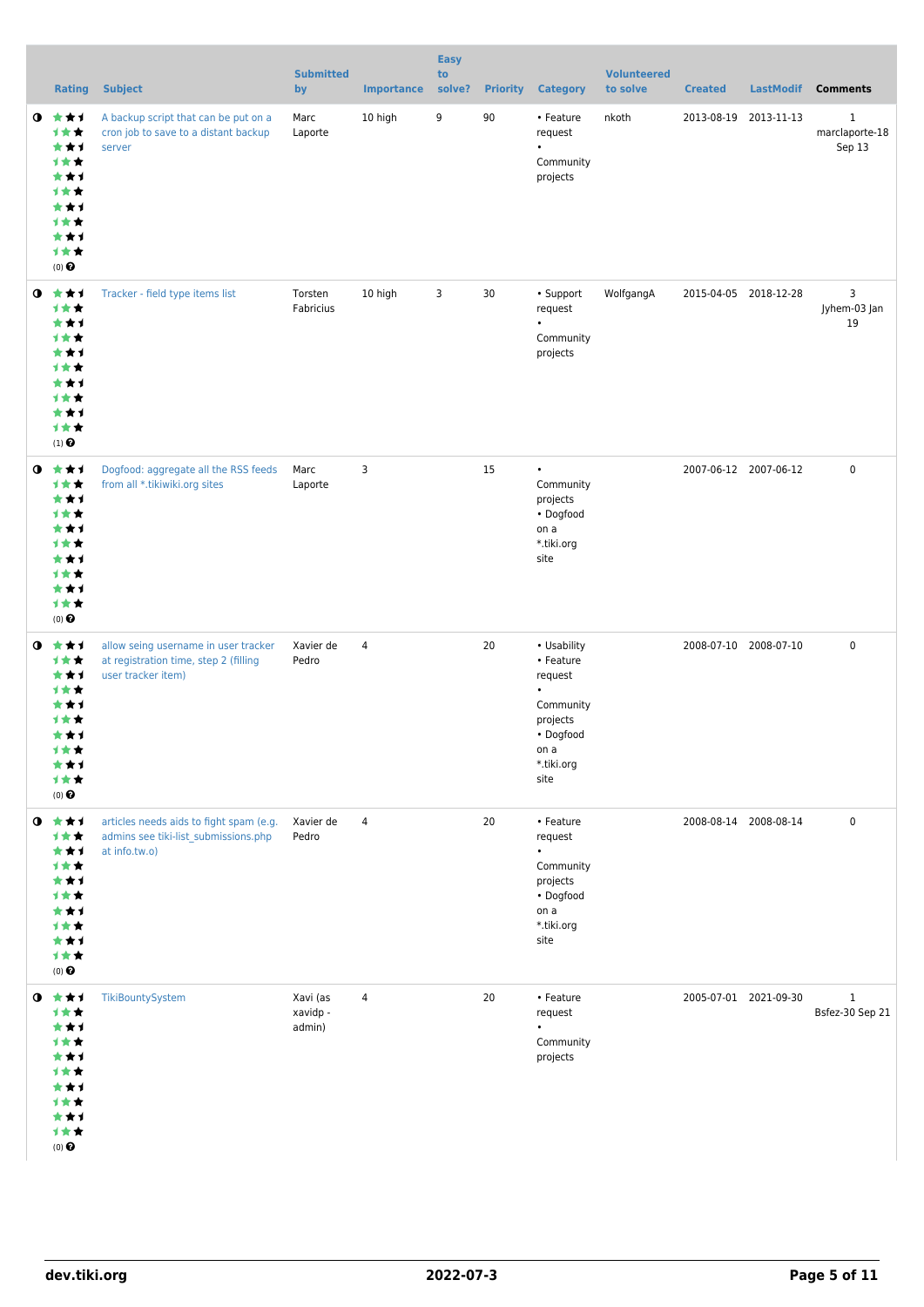|           | <b>Rating</b>                                                                                                         | <b>Subject</b>                                                                                      | <b>Submitted</b><br>by         | <b>Importance</b> | <b>Easy</b><br>to<br>solve? |    | <b>Priority Category</b>                                                                                | <b>Volunteered</b><br>to solve | <b>Created</b>        | <b>LastModif</b>      | <b>Comments</b>               |
|-----------|-----------------------------------------------------------------------------------------------------------------------|-----------------------------------------------------------------------------------------------------|--------------------------------|-------------------|-----------------------------|----|---------------------------------------------------------------------------------------------------------|--------------------------------|-----------------------|-----------------------|-------------------------------|
| $\bullet$ | 大大才<br>计女女<br>***<br><b>1**</b><br>***<br>计女女<br>***<br>计女女<br>***<br>计女女<br>$(0)$ <sup>O</sup>                       | A backup script that can be put on a<br>cron job to save to a distant backup<br>server              | Marc<br>Laporte                | 10 high           | 9                           | 90 | • Feature<br>request<br>$\bullet$<br>Community<br>projects                                              | nkoth                          | 2013-08-19 2013-11-13 |                       | 1<br>marclaporte-18<br>Sep 13 |
|           | $0$ $*$ $*$ $*$<br>计女女<br>***<br>计女女<br>***<br>计女女<br>***<br>计女女<br>***<br>计女女<br>$(1)$ <sup><math>\odot</math></sup> | Tracker - field type items list                                                                     | Torsten<br>Fabricius           | 10 high           | 3                           | 30 | • Support<br>request<br>$\bullet$<br>Community<br>projects                                              | WolfgangA                      |                       | 2015-04-05 2018-12-28 | 3<br>Jyhem-03 Jan<br>19       |
| $\bullet$ | ***<br>计女女<br>***<br>计女女<br>***<br>1★★<br>***<br>计女女<br>***<br>计女女<br>$(0)$ <sup>O</sup>                              | Dogfood: aggregate all the RSS feeds<br>from all *.tikiwiki.org sites                               | Marc<br>Laporte                | 3                 |                             | 15 | $\bullet$<br>Community<br>projects<br>• Dogfood<br>on a<br>*.tiki.org<br>site                           |                                |                       | 2007-06-12 2007-06-12 | $\mathbf 0$                   |
| $\bullet$ | ***<br>计女女<br>***<br>计女女<br>***<br>计女女<br>***<br>计文文<br>***<br>计女女<br>$(0)$ $\Theta$                                  | allow seing username in user tracker<br>at registration time, step 2 (filling<br>user tracker item) | Xavier de<br>Pedro             | $\overline{4}$    |                             | 20 | • Usability<br>• Feature<br>request<br>Community<br>projects<br>• Dogfood<br>on a<br>*.tiki.org<br>site |                                | 2008-07-10 2008-07-10 |                       | $\mathbf 0$                   |
| $\bullet$ | 食食す<br>计女女<br>***<br>计女女<br>***<br>1★★<br>***<br>1★★<br>***<br>计女女<br>$(0)$ $\odot$                                   | articles needs aids to fight spam (e.g.<br>admins see tiki-list_submissions.php<br>at info.tw.o)    | Xavier de<br>Pedro             | $\overline{4}$    |                             | 20 | • Feature<br>request<br>$\bullet$<br>Community<br>projects<br>• Dogfood<br>on a<br>*.tiki.org<br>site   |                                |                       | 2008-08-14 2008-08-14 | 0                             |
| $\bullet$ | ***<br>计女女<br>***<br>1★★<br>***<br>1★★<br>***<br>计女女<br>***<br>1★★<br>$(0)$<br>$\pmb{\Theta}$                         | TikiBountySystem                                                                                    | Xavi (as<br>xavidp -<br>admin) | 4                 |                             | 20 | • Feature<br>request<br>$\bullet$<br>Community<br>projects                                              |                                |                       | 2005-07-01 2021-09-30 | $1\,$<br>Bsfez-30 Sep 21      |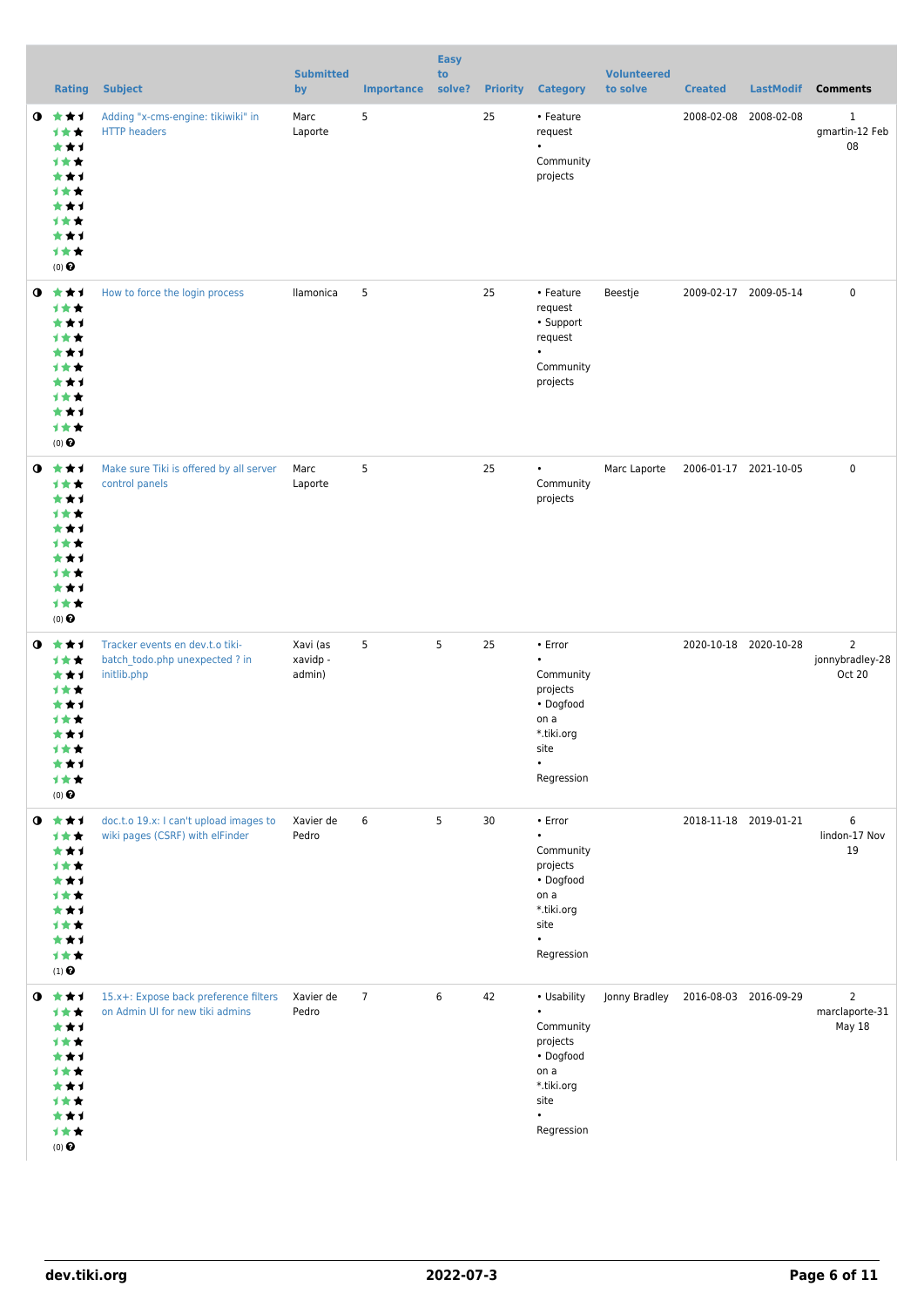|           | <b>Rating</b>                                                                                          | <b>Subject</b>                                                                   | <b>Submitted</b><br>by         | <b>Importance</b> | <b>Easy</b><br>to<br>solve? | <b>Priority</b> | <b>Category</b>                                                                                                         | <b>Volunteered</b><br>to solve | <b>Created</b>        | <b>LastModif</b>      | <b>Comments</b>                             |
|-----------|--------------------------------------------------------------------------------------------------------|----------------------------------------------------------------------------------|--------------------------------|-------------------|-----------------------------|-----------------|-------------------------------------------------------------------------------------------------------------------------|--------------------------------|-----------------------|-----------------------|---------------------------------------------|
| $\bullet$ | 大大士<br><b>1**</b><br>***<br>计女女<br>***<br>计女女<br>***<br>计女女<br>***<br>计女女<br>$(0)$ $\odot$             | Adding "x-cms-engine: tikiwiki" in<br><b>HTTP headers</b>                        | Marc<br>Laporte                | 5                 |                             | 25              | • Feature<br>request<br>$\bullet$<br>Community<br>projects                                                              |                                | 2008-02-08            | 2008-02-08            | 1<br>gmartin-12 Feb<br>08                   |
| $\bullet$ | ***<br>计女女<br>***<br>1★★<br>***<br>计女女<br>***<br>计女女<br>***<br>计女女<br>$(0)$ <sup>O</sup>               | How to force the login process                                                   | llamonica                      | 5                 |                             | 25              | • Feature<br>request<br>• Support<br>request<br>Community<br>projects                                                   | Beestje                        | 2009-02-17 2009-05-14 |                       | $\pmb{0}$                                   |
| $\bullet$ | 大大士<br>计女女<br>***<br><b>1**</b><br>***<br>计女女<br>***<br>计女女<br>***<br>计女女<br>$(0)$ $\odot$             | Make sure Tiki is offered by all server<br>control panels                        | Marc<br>Laporte                | 5                 |                             | 25              | $\bullet$<br>Community<br>projects                                                                                      | Marc Laporte                   | 2006-01-17 2021-10-05 |                       | 0                                           |
| $\bullet$ | ***<br>计女女<br>***<br>计女女<br>***<br>计女女<br>***<br>计女女<br>***<br>计女女<br>$(0)$ $\Theta$                   | Tracker events en dev.t.o tiki-<br>batch todo.php unexpected ? in<br>initlib.php | Xavi (as<br>xavidp -<br>admin) | 5                 | 5                           | 25              | • Error<br>$\bullet$<br>Community<br>projects<br>• Dogfood<br>on a<br>*.tiki.org<br>site<br>$\bullet$<br>Regression     |                                |                       | 2020-10-18 2020-10-28 | $\overline{2}$<br>jonnybradley-28<br>Oct 20 |
|           | $0$ $*$ $*$ $*$<br>计女女<br>***<br>计女女<br>***<br><b>1**</b><br>***<br>计女女<br>***<br>计女女<br>$(1)$ $\odot$ | doc.t.o 19.x: I can't upload images to<br>wiki pages (CSRF) with elFinder        | Xavier de<br>Pedro             | 6                 | 5                           | 30              | • Error<br>$\bullet$<br>Community<br>projects<br>• Dogfood<br>on a<br>*.tiki.org<br>site<br>$\bullet$<br>Regression     |                                |                       | 2018-11-18 2019-01-21 | 6<br>lindon-17 Nov<br>19                    |
| $\bullet$ | ***<br>计女女<br>***<br>计女女<br>***<br>计女女<br>***<br>计女女<br>***<br>计女女<br>$(0)$ <sup>O</sup>               | 15.x+: Expose back preference filters<br>on Admin UI for new tiki admins         | Xavier de<br>Pedro             | $\overline{7}$    | 6                           | 42              | • Usability<br>$\bullet$<br>Community<br>projects<br>• Dogfood<br>on a<br>*.tiki.org<br>site<br>$\bullet$<br>Regression | Jonny Bradley                  | 2016-08-03 2016-09-29 |                       | $\overline{2}$<br>marclaporte-31<br>May 18  |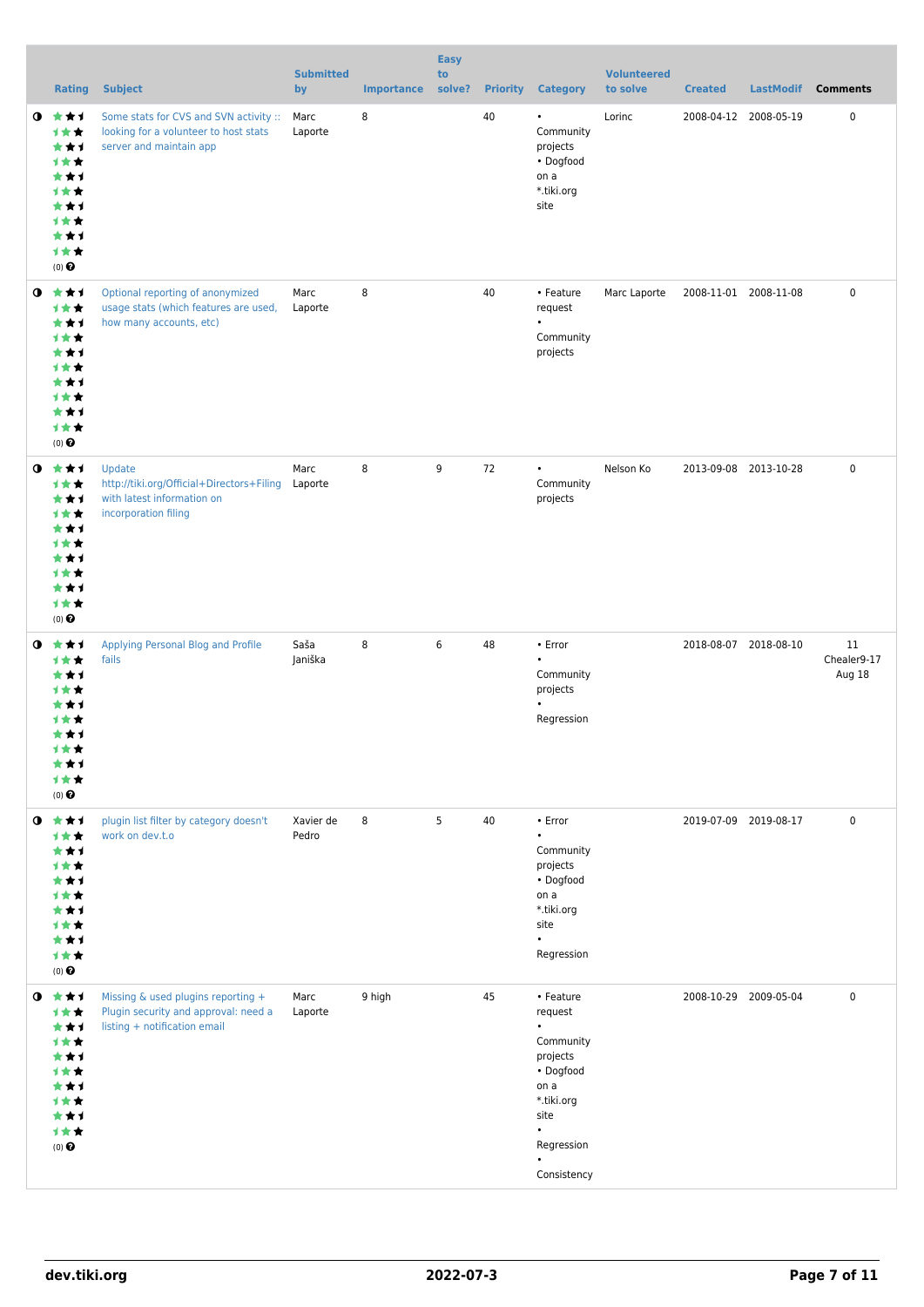|           | <b>Rating</b>                                                                                          | <b>Subject</b>                                                                                             | <b>Submitted</b><br>by | <b>Importance</b> | <b>Easy</b><br>to<br>solve? | <b>Priority</b> | <b>Category</b>                                                                                                                                 | <b>Volunteered</b><br>to solve | <b>Created</b>        | <b>LastModif</b>      | <b>Comments</b>             |
|-----------|--------------------------------------------------------------------------------------------------------|------------------------------------------------------------------------------------------------------------|------------------------|-------------------|-----------------------------|-----------------|-------------------------------------------------------------------------------------------------------------------------------------------------|--------------------------------|-----------------------|-----------------------|-----------------------------|
|           | $0 \star \star \star$<br>计女女<br>***<br>计女女<br>***<br>计女女<br>***<br>计女女<br>***<br>计女女<br>$(0)$ $\Theta$ | Some stats for CVS and SVN activity ::<br>looking for a volunteer to host stats<br>server and maintain app | Marc<br>Laporte        | 8                 |                             | 40              | $\bullet$<br>Community<br>projects<br>• Dogfood<br>on a<br>*.tiki.org<br>site                                                                   | Lorinc                         |                       | 2008-04-12 2008-05-19 | 0                           |
|           | $0 \star \star \star$<br>计女女<br>***<br>计女女<br>***<br>计女女<br>***<br>计女女<br>***<br>计女女<br>$(0)$ $\odot$  | Optional reporting of anonymized<br>usage stats (which features are used,<br>how many accounts, etc)       | Marc<br>Laporte        | 8                 |                             | 40              | • Feature<br>request<br>$\bullet$<br>Community<br>projects                                                                                      | Marc Laporte                   | 2008-11-01 2008-11-08 |                       | 0                           |
| $\bullet$ | 食食す<br>1★★<br>***<br>计女女<br>***<br>计女女<br>***<br>计女女<br>***<br>1★★<br>$(0)$ $\odot$                    | Update<br>http://tiki.org/Official+Directors+Filing<br>with latest information on<br>incorporation filing  | Marc<br>Laporte        | 8                 | 9                           | 72              | $\bullet$<br>Community<br>projects                                                                                                              | Nelson Ko                      |                       | 2013-09-08 2013-10-28 | 0                           |
| $\bullet$ | ***<br>计女女<br>***<br>1 * *<br>* * 1<br><b>1 ★ ★</b><br>***<br>计女女<br>***<br>计女女<br>$(0)$ $\Theta$      | Applying Personal Blog and Profile<br>fails                                                                | Saša<br>Janiška        | 8                 | 6                           | 48              | • Error<br>$\bullet$<br>Community<br>projects<br>$\bullet$<br>Regression                                                                        |                                | 2018-08-07 2018-08-10 |                       | 11<br>Chealer9-17<br>Aug 18 |
|           | $0$ $\star\star\star$<br>计女女<br>***<br>1★★<br>***<br>计女女<br>***<br>计女女<br>***<br>计女女<br>$(0)$ $\odot$  | plugin list filter by category doesn't<br>work on dev.t.o                                                  | Xavier de<br>Pedro     | 8                 | 5                           | 40              | • Error<br>$\bullet$<br>Community<br>projects<br>• Dogfood<br>on a<br>*.tiki.org<br>site<br>$\bullet$<br>Regression                             |                                | 2019-07-09 2019-08-17 |                       | 0                           |
| $\bullet$ | ***<br>计女女<br>***<br>1★★<br>***<br>计女女<br>***<br>计女女<br>***<br>计女女<br>$(0)$ $\Theta$                   | Missing & used plugins reporting +<br>Plugin security and approval: need a<br>listing + notification email | Marc<br>Laporte        | 9 high            |                             | 45              | • Feature<br>request<br>$\bullet$<br>Community<br>projects<br>• Dogfood<br>on a<br>*.tiki.org<br>site<br>$\bullet$<br>Regression<br>Consistency |                                | 2008-10-29 2009-05-04 |                       | $\mathbf 0$                 |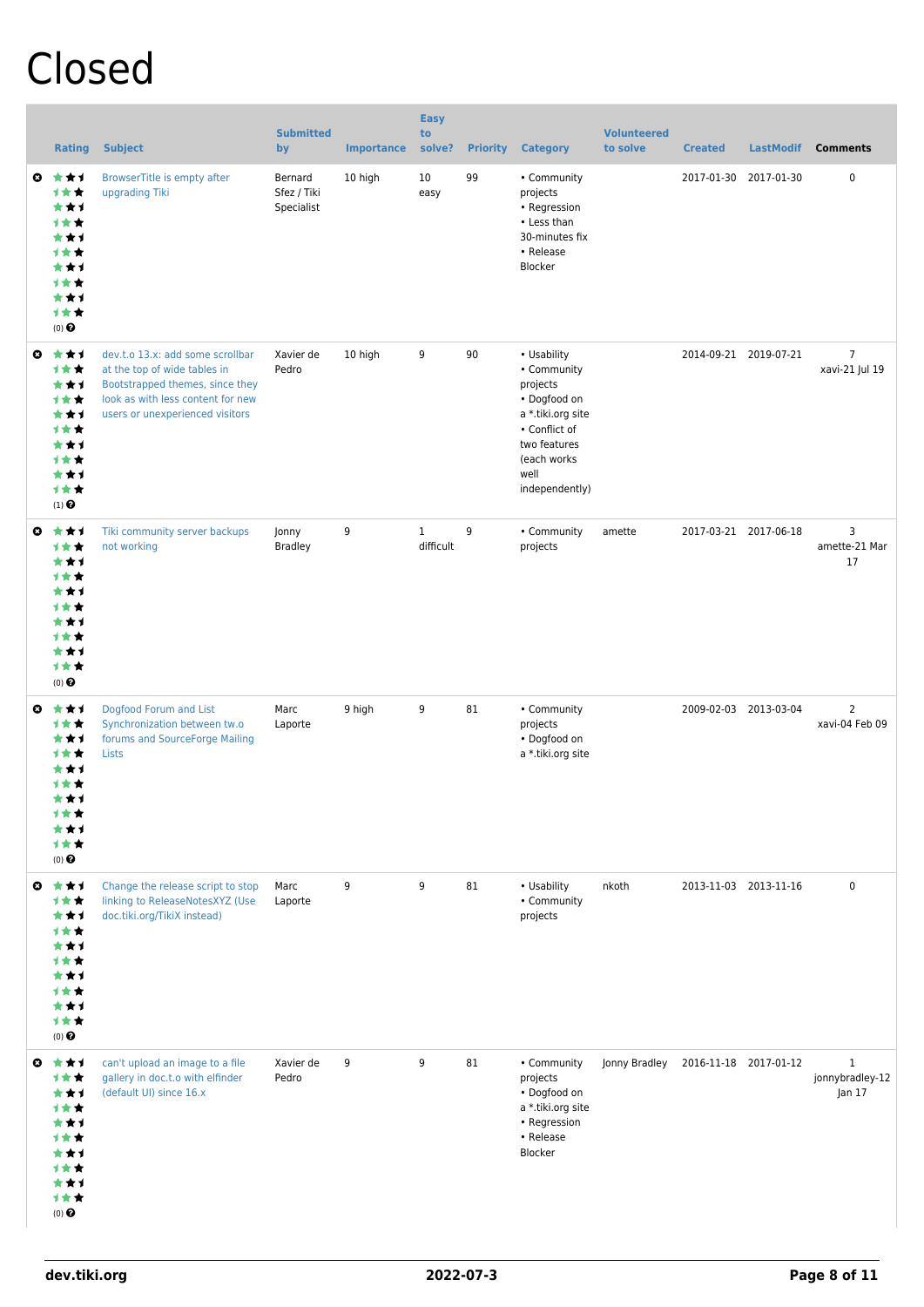## Closed

|                       | <b>Rating</b>                                                                              | <b>Subject</b>                                                                                                                                                              | <b>Submitted</b><br>by               | <b>Importance</b> | <b>Easy</b><br>to<br>solve? | <b>Priority</b> | <b>Category</b>                                                                                                                                       | <b>Volunteered</b><br>to solve | <b>Created</b>        | <b>LastModif</b>      | <b>Comments</b>                           |
|-----------------------|--------------------------------------------------------------------------------------------|-----------------------------------------------------------------------------------------------------------------------------------------------------------------------------|--------------------------------------|-------------------|-----------------------------|-----------------|-------------------------------------------------------------------------------------------------------------------------------------------------------|--------------------------------|-----------------------|-----------------------|-------------------------------------------|
| $\boldsymbol{\Omega}$ | ***<br>计女女<br>***<br>计女女<br>***<br>计女女<br>***<br>1**<br>***<br>计女女<br>$(0)$ $\odot$        | BrowserTitle is empty after<br>upgrading Tiki                                                                                                                               | Bernard<br>Sfez / Tiki<br>Specialist | 10 high           | 10<br>easy                  | 99              | • Community<br>projects<br>• Regression<br>• Less than<br>30-minutes fix<br>• Release<br>Blocker                                                      |                                | 2017-01-30            | 2017-01-30            | 0                                         |
| $\boldsymbol{\Omega}$ | ***<br>计女女<br>***<br>计女女<br>***<br><b>1★★</b><br>***<br>计女女<br>***<br>计女女<br>$(1)$ $\odot$ | dev.t.o 13.x: add some scrollbar<br>at the top of wide tables in<br>Bootstrapped themes, since they<br>look as with less content for new<br>users or unexperienced visitors | Xavier de<br>Pedro                   | 10 high           | 9                           | 90              | • Usability<br>• Community<br>projects<br>• Dogfood on<br>a *.tiki.org site<br>• Conflict of<br>two features<br>(each works<br>well<br>independently) |                                |                       | 2014-09-21 2019-07-21 | $\overline{7}$<br>xavi-21 Jul 19          |
| $\boldsymbol{\omega}$ | ***<br>计女女<br>***<br>计女女<br>***<br>计女女<br>***<br>计女女<br>***<br>计女女<br>$(0)$ $\pmb{\Theta}$ | Tiki community server backups<br>not working                                                                                                                                | Jonny<br><b>Bradley</b>              | 9                 | $\mathbf{1}$<br>difficult   | 9               | • Community<br>projects                                                                                                                               | amette                         |                       | 2017-03-21 2017-06-18 | 3<br>amette-21 Mar<br>17                  |
| $\boldsymbol{\Omega}$ | ***<br>计女女<br>***<br>计女女<br>***<br>1★★<br>***<br>1★★<br>*1<br>计女女<br>$(0)$ $\Theta$        | Dogfood Forum and List<br>Synchronization between tw.o<br>forums and SourceForge Mailing<br>Lists                                                                           | Marc<br>Laporte                      | 9 high            | 9                           | 81              | • Community<br>projects<br>• Dogfood on<br>a *.tiki.org site                                                                                          |                                |                       | 2009-02-03 2013-03-04 | $\overline{2}$<br>xavi-04 Feb 09          |
|                       | ◎ ★★1<br>***<br>***<br>计女女<br>***<br>计女女<br>***<br>计女女<br>***<br>计女女<br>$(0)$ $\Theta$     | Change the release script to stop<br>linking to ReleaseNotesXYZ (Use<br>doc.tiki.org/TikiX instead)                                                                         | Marc<br>Laporte                      | 9                 | 9                           | 81              | • Usability<br>• Community<br>projects                                                                                                                | nkoth                          |                       | 2013-11-03 2013-11-16 | $\pmb{0}$                                 |
|                       | ◎ ★★1<br>计女女<br>***<br>计女女<br>***<br>计女女<br>***<br>计女女<br>***<br>计女女<br>$(0)$ $\odot$      | can't upload an image to a file<br>gallery in doc.t.o with elfinder<br>(default UI) since 16.x                                                                              | Xavier de<br>Pedro                   | 9                 | 9                           | 81              | • Community<br>projects<br>• Dogfood on<br>a *.tiki.org site<br>• Regression<br>• Release<br>Blocker                                                  | Jonny Bradley                  | 2016-11-18 2017-01-12 |                       | $\mathbf{1}$<br>jonnybradley-12<br>Jan 17 |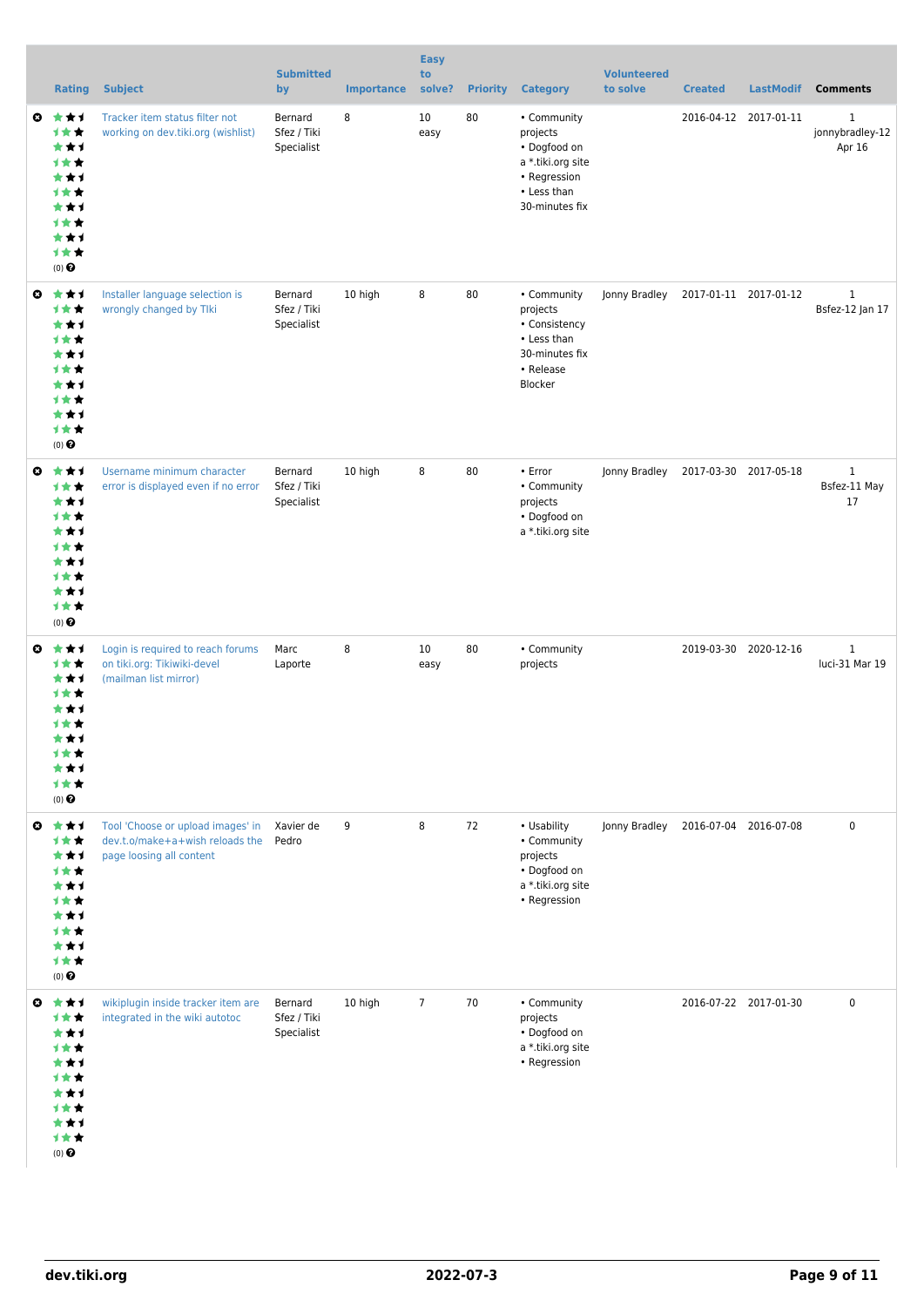|   | <b>Rating</b>                                                                           | <b>Subject</b>                                                                                   | <b>Submitted</b><br>by               | <b>Importance</b> | <b>Easy</b><br>to<br>solve? | <b>Priority</b> | <b>Category</b>                                                                                               | <b>Volunteered</b><br>to solve | <b>Created</b>        | <b>LastModif</b>      | <b>Comments</b>                           |
|---|-----------------------------------------------------------------------------------------|--------------------------------------------------------------------------------------------------|--------------------------------------|-------------------|-----------------------------|-----------------|---------------------------------------------------------------------------------------------------------------|--------------------------------|-----------------------|-----------------------|-------------------------------------------|
| O | 大大才<br>计女女<br>***<br>1★★<br>***<br>计女女<br>***<br><b>1**</b><br>***<br>1★★<br>(0)        | Tracker item status filter not<br>working on dev.tiki.org (wishlist)                             | Bernard<br>Sfez / Tiki<br>Specialist | 8                 | 10<br>easy                  | 80              | • Community<br>projects<br>• Dogfood on<br>a *.tiki.org site<br>• Regression<br>• Less than<br>30-minutes fix |                                |                       | 2016-04-12 2017-01-11 | $\mathbf{1}$<br>jonnybradley-12<br>Apr 16 |
| O | ***<br>计女女<br>***<br>计女女<br>***<br><b>1**</b><br>***<br><b>1**</b><br>***<br>1★★<br>(0) | Installer language selection is<br>wrongly changed by Tlki                                       | Bernard<br>Sfez / Tiki<br>Specialist | 10 high           | 8                           | 80              | • Community<br>projects<br>• Consistency<br>• Less than<br>30-minutes fix<br>• Release<br>Blocker             | Jonny Bradley                  | 2017-01-11 2017-01-12 |                       | $\mathbf{1}$<br>Bsfez-12 Jan 17           |
| O | ***<br>计女女<br>***<br>1★★<br>***<br>计女女<br>***<br>计女女<br>***<br>1★★<br>$(0)$ $\odot$     | Username minimum character<br>error is displayed even if no error                                | Bernard<br>Sfez / Tiki<br>Specialist | 10 high           | 8                           | 80              | • Error<br>• Community<br>projects<br>• Dogfood on<br>a *.tiki.org site                                       | Jonny Bradley                  | 2017-03-30 2017-05-18 |                       | $\mathbf{1}$<br>Bsfez-11 May<br>17        |
| O | ***<br>计女女<br>***<br>计女女<br>***<br>计女女<br>***<br>计女女<br>***<br>1★★<br>$(0)$ $\odot$     | Login is required to reach forums<br>on tiki.org: Tikiwiki-devel<br>(mailman list mirror)        | Marc<br>Laporte                      | 8                 | 10<br>easy                  | 80              | • Community<br>projects                                                                                       |                                | 2019-03-30 2020-12-16 |                       | $\mathbf{1}$<br>luci-31 Mar 19            |
| ◒ | ***<br>计女女<br>***<br>计女女<br>***<br>计女女<br>***<br>计女女<br>***<br>计女女<br>$(0)$ $\odot$     | Tool 'Choose or upload images' in<br>dev.t.o/make+a+wish reloads the<br>page loosing all content | Xavier de<br>Pedro                   | 9                 | 8                           | 72              | • Usability<br>• Community<br>projects<br>• Dogfood on<br>a *.tiki.org site<br>• Regression                   | Jonny Bradley                  | 2016-07-04 2016-07-08 |                       | $\pmb{0}$                                 |
|   | ◎ ★★1<br>计女女<br>***<br>计女女<br>***<br>计女女<br>***<br>计女女<br>***<br>计女女<br>$(0)$ $\odot$   | wikiplugin inside tracker item are<br>integrated in the wiki autotoc                             | Bernard<br>Sfez / Tiki<br>Specialist | 10 high           | $\overline{7}$              | 70              | • Community<br>projects<br>• Dogfood on<br>a *.tiki.org site<br>• Regression                                  |                                | 2016-07-22 2017-01-30 |                       | 0                                         |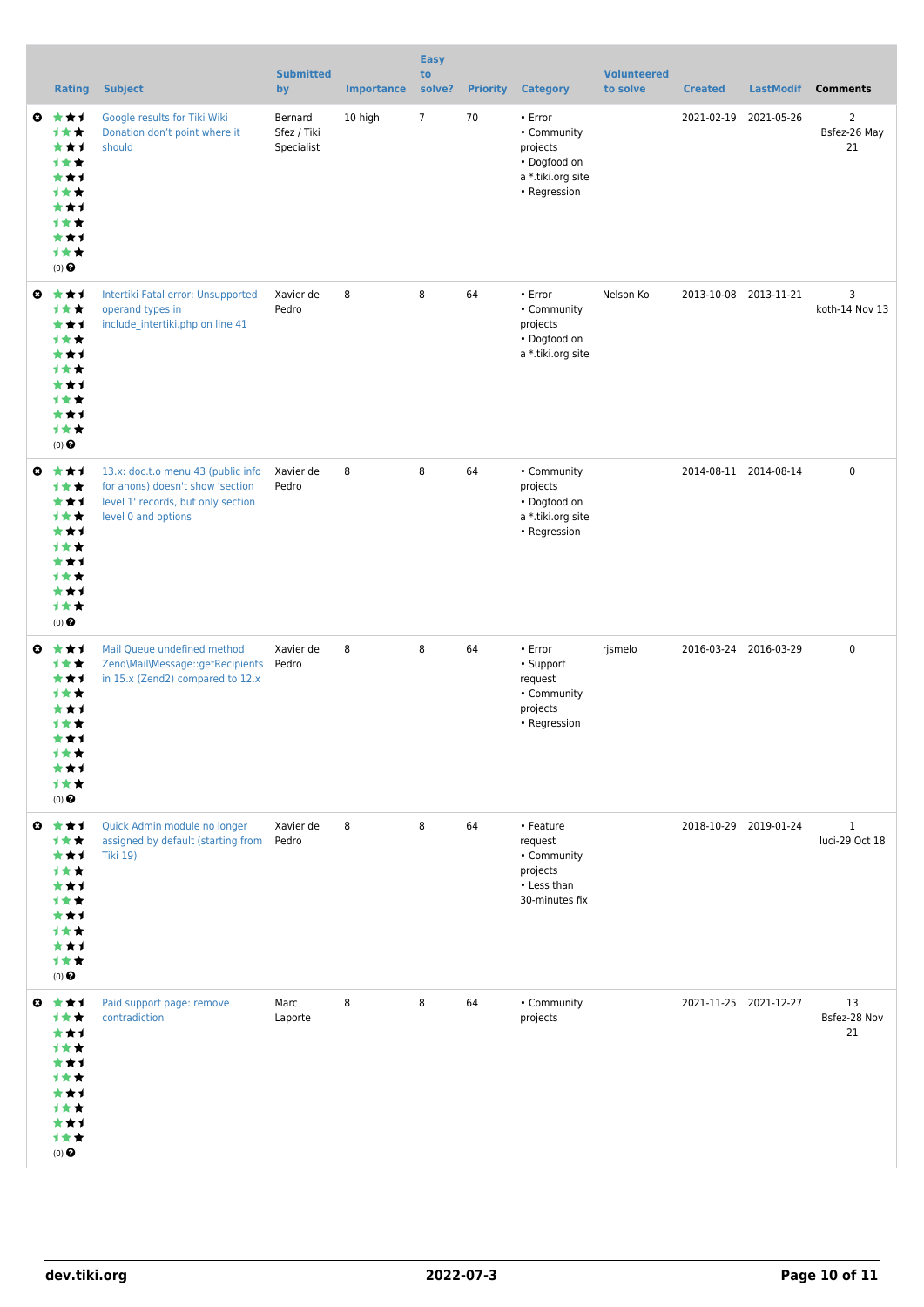|                       | <b>Rating</b>                                                                                             | <b>Subject</b>                                                                                                                      | <b>Submitted</b><br>by               | <b>Importance</b> | <b>Easy</b><br>to<br>solve? | <b>Priority</b> | <b>Category</b>                                                                         | <b>Volunteered</b><br>to solve | <b>Created</b> | <b>LastModif</b>      | <b>Comments</b>                      |
|-----------------------|-----------------------------------------------------------------------------------------------------------|-------------------------------------------------------------------------------------------------------------------------------------|--------------------------------------|-------------------|-----------------------------|-----------------|-----------------------------------------------------------------------------------------|--------------------------------|----------------|-----------------------|--------------------------------------|
| $\boldsymbol{\omega}$ | ***<br>计女女<br>***<br>1★★<br>***<br>1★★<br>***<br>计女女<br>***<br>1★★<br>$(0)$ <sup><math>\odot</math></sup> | Google results for Tiki Wiki<br>Donation don't point where it<br>should                                                             | Bernard<br>Sfez / Tiki<br>Specialist | 10 high           | $\overline{7}$              | 70              | • Error<br>• Community<br>projects<br>• Dogfood on<br>a *.tiki.org site<br>• Regression |                                |                | 2021-02-19 2021-05-26 | $\overline{2}$<br>Bsfez-26 May<br>21 |
| $\bullet$             | ***<br>计女女<br>***<br>计女女<br>***<br>1★★<br>***<br>计女女<br>***<br>1★★<br>(0)                                 | Intertiki Fatal error: Unsupported<br>operand types in<br>include intertiki.php on line 41                                          | Xavier de<br>Pedro                   | 8                 | 8                           | 64              | • Error<br>• Community<br>projects<br>• Dogfood on<br>a *.tiki.org site                 | Nelson Ko                      |                | 2013-10-08 2013-11-21 | 3<br>koth-14 Nov 13                  |
| O                     | 大大才<br>计女女<br>***<br>计女女<br>***<br>1★★<br>***<br>计女女<br>***<br>1★★<br>$(0)$ $\odot$                       | 13.x: doc.t.o menu 43 (public info<br>for anons) doesn't show 'section<br>level 1' records, but only section<br>level 0 and options | Xavier de<br>Pedro                   | 8                 | 8                           | 64              | • Community<br>projects<br>• Dogfood on<br>a *.tiki.org site<br>• Regression            |                                |                | 2014-08-11 2014-08-14 | $\pmb{0}$                            |
| $\mathbf{c}$          | ***<br>计女女<br>***<br>计女女<br>***<br>才女女<br>***<br><b>1**</b><br><b>1**</b><br>(0)                          | Mail Queue undefined method<br>Zend\Mail\Message::getRecipients<br>in 15.x (Zend2) compared to 12.x                                 | Xavier de<br>Pedro                   | 8                 | 8                           | 64              | • Error<br>• Support<br>request<br>• Community<br>projects<br>• Regression              | rjsmelo                        |                | 2016-03-24 2016-03-29 | $\pmb{0}$                            |
| $\bullet$             | 大女子<br>计女女<br>***<br>计女女<br>***<br>计女女<br>***<br><b>1**</b><br>***<br>1★★<br>(0)                          | Quick Admin module no longer<br>assigned by default (starting from<br><b>Tiki 19)</b>                                               | Xavier de<br>Pedro                   | 8                 | 8                           | 64              | • Feature<br>request<br>• Community<br>projects<br>• Less than<br>30-minutes fix        |                                |                | 2018-10-29 2019-01-24 | $\mathbf{1}$<br>luci-29 Oct 18       |
| O                     | 大女子<br>计女女<br>***<br>计女女<br>***<br><b>1★★</b><br>***<br>计女女<br>***<br>1★★<br>$(0)$ $\odot$                | Paid support page: remove<br>contradiction                                                                                          | Marc<br>Laporte                      | 8                 | 8                           | 64              | • Community<br>projects                                                                 |                                |                | 2021-11-25 2021-12-27 | 13<br>Bsfez-28 Nov<br>21             |